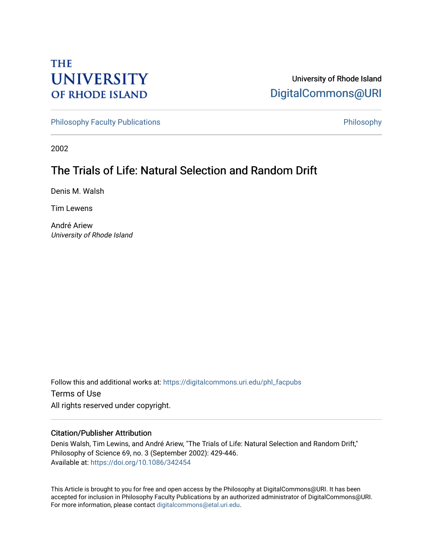# **THE UNIVERSITY OF RHODE ISLAND**

## University of Rhode Island [DigitalCommons@URI](https://digitalcommons.uri.edu/)

[Philosophy Faculty Publications](https://digitalcommons.uri.edu/phl_facpubs) **Philosophy** Philosophy

2002

## The Trials of Life: Natural Selection and Random Drift

Denis M. Walsh

Tim Lewens

André Ariew University of Rhode Island

Follow this and additional works at: [https://digitalcommons.uri.edu/phl\\_facpubs](https://digitalcommons.uri.edu/phl_facpubs?utm_source=digitalcommons.uri.edu%2Fphl_facpubs%2F6&utm_medium=PDF&utm_campaign=PDFCoverPages)  Terms of Use All rights reserved under copyright.

### Citation/Publisher Attribution

Denis Walsh, Tim Lewins, and André Ariew, "The Trials of Life: Natural Selection and Random Drift," Philosophy of Science 69, no. 3 (September 2002): 429-446. Available at:<https://doi.org/10.1086/342454>

This Article is brought to you for free and open access by the Philosophy at DigitalCommons@URI. It has been accepted for inclusion in Philosophy Faculty Publications by an authorized administrator of DigitalCommons@URI. For more information, please contact [digitalcommons@etal.uri.edu](mailto:digitalcommons@etal.uri.edu).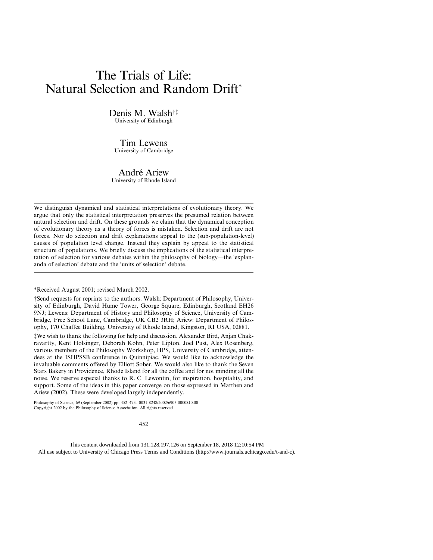## The Trials of Life: Natural Selection and Random Drift\*

## Denis M. Walsh†‡

University of Edinburgh

### Tim Lewens

University of Cambridge

### André Ariew

University of Rhode Island

We distinguish dynamical and statistical interpretations of evolutionary theory. We argue that only the statistical interpretation preserves the presumed relation between natural selection and drift. On these grounds we claim that the dynamical conception of evolutionary theory as a theory of forces is mistaken. Selection and drift are not forces. Nor do selection and drift explanations appeal to the (sub-population-level) causes of population level change. Instead they explain by appeal to the statistical structure of populations. We briefly discuss the implications of the statistical interpretation of selection for various debates within the philosophy of biology—the 'explananda of selection' debate and the 'units of selection' debate.

\*Received August 2001; revised March 2002.

†Send requests for reprints to the authors. Walsh: Department of Philosophy, University of Edinburgh, David Hume Tower, George Square, Edinburgh, Scotland EH26 9NJ; Lewens: Department of History and Philosophy of Science, University of Cambridge, Free School Lane, Cambridge, UK CB2 3RH; Ariew: Department of Philosophy, 170 Chaffee Building, University of Rhode Island, Kingston, RI USA, 02881.

‡We wish to thank the following for help and discussion. Alexander Bird, Anjan Chakravartty, Kent Holsinger, Deborah Kohn, Peter Lipton, Joel Pust, Alex Rosenberg, various members of the Philosophy Workshop, HPS, University of Cambridge, attendees at the ISHPSSB conference in Quinnipiac. We would like to acknowledge the invaluable comments offered by Elliott Sober. We would also like to thank the Seven Stars Bakery in Providence, Rhode Island for all the coffee and for not minding all the noise. We reserve especial thanks to R. C. Lewontin, for inspiration, hospitality, and support. Some of the ideas in this paper converge on those expressed in Matthen and Ariew (2002). These were developed largely independently.

Philosophy of Science, 69 (September 2002) pp. 452–473. 0031-8248/2002/6903-0000\$10.00 Copyright 2002 by the Philosophy of Science Association. All rights reserved.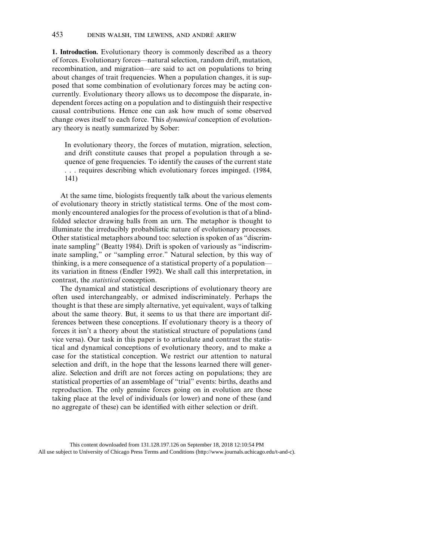**1. Introduction.** Evolutionary theory is commonly described as a theory of forces. Evolutionary forces—natural selection, random drift, mutation, recombination, and migration—are said to act on populations to bring about changes of trait frequencies. When a population changes, it is supposed that some combination of evolutionary forces may be acting concurrently. Evolutionary theory allows us to decompose the disparate, independent forces acting on a population and to distinguish their respective causal contributions. Hence one can ask how much of some observed change owes itself to each force. This *dynamical* conception of evolutionary theory is neatly summarized by Sober:

In evolutionary theory, the forces of mutation, migration, selection, and drift constitute causes that propel a population through a sequence of gene frequencies. To identify the causes of the current state . . . requires describing which evolutionary forces impinged. (1984, 141)

At the same time, biologists frequently talk about the various elements of evolutionary theory in strictly statistical terms. One of the most commonly encountered analogies for the process of evolution is that of a blindfolded selector drawing balls from an urn. The metaphor is thought to illuminate the irreducibly probabilistic nature of evolutionary processes. Other statistical metaphors abound too: selection is spoken of as "discriminate sampling" (Beatty 1984). Drift is spoken of variously as "indiscriminate sampling," or "sampling error." Natural selection, by this way of thinking, is a mere consequence of a statistical property of a population its variation in fitness (Endler 1992). We shall call this interpretation, in contrast, the *statistical* conception.

The dynamical and statistical descriptions of evolutionary theory are often used interchangeably, or admixed indiscriminately. Perhaps the thought is that these are simply alternative, yet equivalent, ways of talking about the same theory. But, it seems to us that there are important differences between these conceptions. If evolutionary theory is a theory of forces it isn't a theory about the statistical structure of populations (and vice versa). Our task in this paper is to articulate and contrast the statistical and dynamical conceptions of evolutionary theory, and to make a case for the statistical conception. We restrict our attention to natural selection and drift, in the hope that the lessons learned there will generalize. Selection and drift are not forces acting on populations; they are statistical properties of an assemblage of "trial" events: births, deaths and reproduction. The only genuine forces going on in evolution are those taking place at the level of individuals (or lower) and none of these (and no aggregate of these) can be identified with either selection or drift.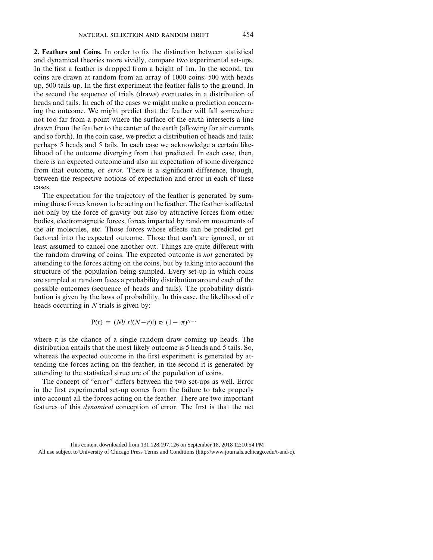**2. Feathers and Coins.** In order to fix the distinction between statistical and dynamical theories more vividly, compare two experimental set-ups. In the first a feather is dropped from a height of 1m. In the second, ten coins are drawn at random from an array of 1000 coins: 500 with heads up, 500 tails up. In the first experiment the feather falls to the ground. In the second the sequence of trials (draws) eventuates in a distribution of heads and tails. In each of the cases we might make a prediction concerning the outcome. We might predict that the feather will fall somewhere not too far from a point where the surface of the earth intersects a line drawn from the feather to the center of the earth (allowing for air currents and so forth). In the coin case, we predict a distribution of heads and tails: perhaps 5 heads and 5 tails. In each case we acknowledge a certain likelihood of the outcome diverging from that predicted. In each case, then, there is an expected outcome and also an expectation of some divergence from that outcome, or *error.* There is a significant difference, though, between the respective notions of expectation and error in each of these cases.

The expectation for the trajectory of the feather is generated by summing those forces known to be acting on the feather. The feather is affected not only by the force of gravity but also by attractive forces from other bodies, electromagnetic forces, forces imparted by random movements of the air molecules, etc. Those forces whose effects can be predicted get factored into the expected outcome. Those that can't are ignored, or at least assumed to cancel one another out. Things are quite different with the random drawing of coins. The expected outcome is *not* generated by attending to the forces acting on the coins, but by taking into account the structure of the population being sampled. Every set-up in which coins are sampled at random faces a probability distribution around each of the possible outcomes (sequence of heads and tails). The probability distribution is given by the laws of probability. In this case, the likelihood of *r* heads occurring in *N* trials is given by:

$$
P(r) = (N!/ r!(N-r)!) \pi^{r} (1-\pi)^{N-r}
$$

where  $\pi$  is the chance of a single random draw coming up heads. The distribution entails that the most likely outcome is 5 heads and 5 tails. So, whereas the expected outcome in the first experiment is generated by attending the forces acting on the feather, in the second it is generated by attending to the statistical structure of the population of coins.

The concept of "error" differs between the two set-ups as well. Error in the first experimental set-up comes from the failure to take properly into account all the forces acting on the feather. There are two important features of this *dynamical* conception of error. The first is that the net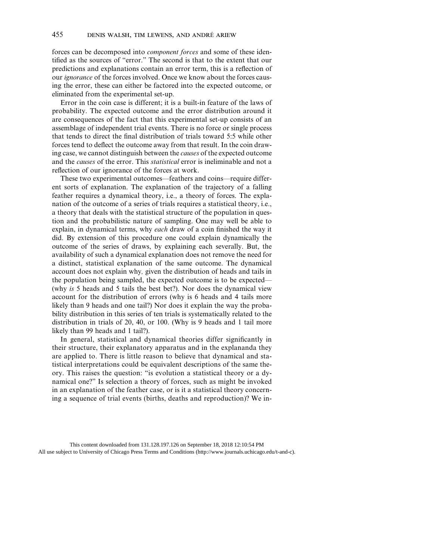forces can be decomposed into *component forces* and some of these identified as the sources of "error." The second is that to the extent that our predictions and explanations contain an error term, this is a reflection of our *ignorance* of the forces involved. Once we know about the forces causing the error, these can either be factored into the expected outcome, or eliminated from the experimental set-up.

Error in the coin case is different; it is a built-in feature of the laws of probability. The expected outcome and the error distribution around it are consequences of the fact that this experimental set-up consists of an assemblage of independent trial events. There is no force or single process that tends to direct the final distribution of trials toward 5:5 while other forces tend to deflect the outcome away from that result. In the coin drawing case, we cannot distinguish between the *causes* of the expected outcome and the *causes* of the error. This *statistical* error is ineliminable and not a reflection of our ignorance of the forces at work.

These two experimental outcomes—feathers and coins—require different sorts of explanation. The explanation of the trajectory of a falling feather requires a dynamical theory, i.e., a theory of forces. The explanation of the outcome of a series of trials requires a statistical theory, i.e., a theory that deals with the statistical structure of the population in question and the probabilistic nature of sampling. One may well be able to explain, in dynamical terms, why *each* draw of a coin finished the way it did. By extension of this procedure one could explain dynamically the outcome of the series of draws, by explaining each severally. But, the availability of such a dynamical explanation does not remove the need for a distinct, statistical explanation of the same outcome. The dynamical account does not explain why*,* given the distribution of heads and tails in the population being sampled, the expected outcome is to be expected— (why *is* 5 heads and 5 tails the best bet?). Nor does the dynamical view account for the distribution of errors (why is 6 heads and 4 tails more likely than 9 heads and one tail?) Nor does it explain the way the probability distribution in this series of ten trials is systematically related to the distribution in trials of 20, 40, or 100. (Why is 9 heads and 1 tail more likely than 99 heads and 1 tail?).

In general, statistical and dynamical theories differ significantly in their structure, their explanatory apparatus and in the explananda they are applied to. There is little reason to believe that dynamical and statistical interpretations could be equivalent descriptions of the same theory. This raises the question: "is evolution a statistical theory or a dynamical one?" Is selection a theory of forces, such as might be invoked in an explanation of the feather case, or is it a statistical theory concerning a sequence of trial events (births, deaths and reproduction)? We in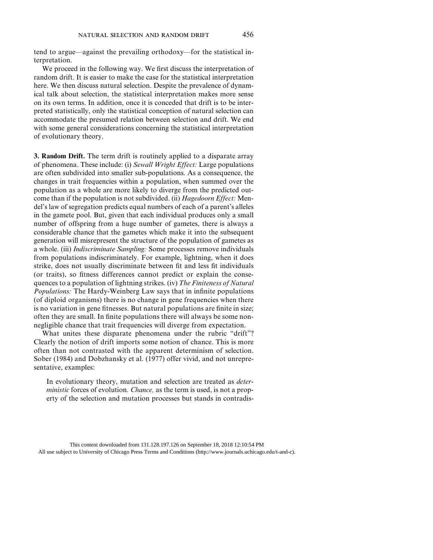tend to argue—against the prevailing orthodoxy—for the statistical interpretation.

We proceed in the following way. We first discuss the interpretation of random drift. It is easier to make the case for the statistical interpretation here. We then discuss natural selection. Despite the prevalence of dynamical talk about selection, the statistical interpretation makes more sense on its own terms. In addition, once it is conceded that drift is to be interpreted statistically, only the statistical conception of natural selection can accommodate the presumed relation between selection and drift. We end with some general considerations concerning the statistical interpretation of evolutionary theory.

**3. Random Drift.** The term drift is routinely applied to a disparate array of phenomena. These include: (i) *Sewall Wright Effect:* Large populations are often subdivided into smaller sub-populations. As a consequence, the changes in trait frequencies within a population, when summed over the population as a whole are more likely to diverge from the predicted outcome than if the population is not subdivided. (ii) *Hagedoorn Effect:* Mendel's law of segregation predicts equal numbers of each of a parent's alleles in the gamete pool. But, given that each individual produces only a small number of offspring from a huge number of gametes, there is always a considerable chance that the gametes which make it into the subsequent generation will misrepresent the structure of the population of gametes as a whole. (iii) *Indiscriminate Sampling:* Some processes remove individuals from populations indiscriminately. For example, lightning, when it does strike, does not usually discriminate between fit and less fit individuals (or traits), so fitness differences cannot predict or explain the consequences to a population of lightning strikes. (iv) *The Finiteness of Natural Populations:* The Hardy-Weinberg Law says that in infinite populations (of diploid organisms) there is no change in gene frequencies when there is no variation in gene fitnesses. But natural populations are finite in size; often they are small. In finite populations there will always be some nonnegligible chance that trait frequencies will diverge from expectation.

What unites these disparate phenomena under the rubric "drift"? Clearly the notion of drift imports some notion of chance. This is more often than not contrasted with the apparent determinism of selection. Sober (1984) and Dobzhansky et al. (1977) offer vivid, and not unrepresentative, examples:

In evolutionary theory, mutation and selection are treated as *deterministic* forces of evolution. *Chance,* as the term is used, is not a property of the selection and mutation processes but stands in contradis-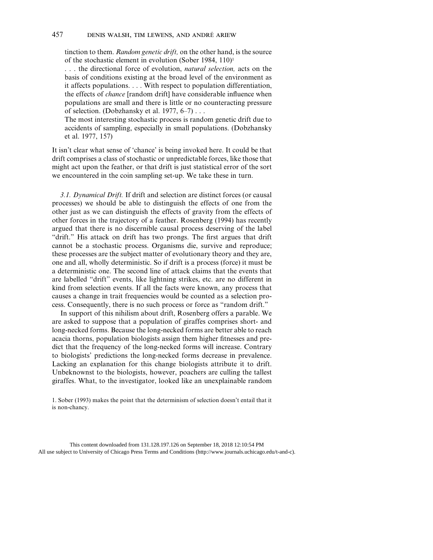tinction to them. *Random genetic drift,* on the other hand, is the source of the stochastic element in evolution (Sober 1984, 110)1

. . . the directional force of evolution, *natural selection,* acts on the basis of conditions existing at the broad level of the environment as it affects populations.... With respect to population differentiation, the effects of *chance* [random drift] have considerable influence when populations are small and there is little or no counteracting pressure of selection. (Dobzhansky et al. 1977, 6–7) . . .

The most interesting stochastic process is random genetic drift due to accidents of sampling, especially in small populations. (Dobzhansky et al. 1977, 157)

It isn't clear what sense of 'chance' is being invoked here. It could be that drift comprises a class of stochastic or unpredictable forces, like those that might act upon the feather, or that drift is just statistical error of the sort we encountered in the coin sampling set-up. We take these in turn.

*3.1. Dynamical Drift.* If drift and selection are distinct forces (or causal processes) we should be able to distinguish the effects of one from the other just as we can distinguish the effects of gravity from the effects of other forces in the trajectory of a feather. Rosenberg (1994) has recently argued that there is no discernible causal process deserving of the label "drift." His attack on drift has two prongs. The first argues that drift cannot be a stochastic process. Organisms die, survive and reproduce; these processes are the subject matter of evolutionary theory and they are, one and all, wholly deterministic. So if drift is a process (force) it must be a deterministic one. The second line of attack claims that the events that are labelled "drift" events, like lightning strikes, etc. are no different in kind from selection events. If all the facts were known, any process that causes a change in trait frequencies would be counted as a selection process. Consequently, there is no such process or force as "random drift."

In support of this nihilism about drift, Rosenberg offers a parable. We are asked to suppose that a population of giraffes comprises short- and long-necked forms. Because the long-necked forms are better able to reach acacia thorns, population biologists assign them higher fitnesses and predict that the frequency of the long-necked forms will increase. Contrary to biologists' predictions the long-necked forms decrease in prevalence. Lacking an explanation for this change biologists attribute it to drift. Unbeknownst to the biologists, however, poachers are culling the tallest giraffes. What, to the investigator, looked like an unexplainable random

1. Sober (1993) makes the point that the determinism of selection doesn't entail that it is non-chancy.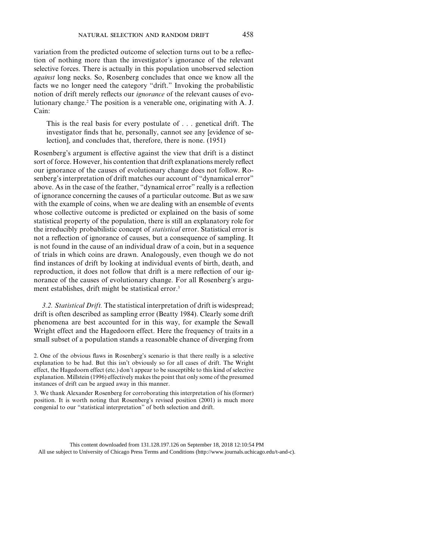variation from the predicted outcome of selection turns out to be a reflection of nothing more than the investigator's ignorance of the relevant selective forces. There is actually in this population unobserved selection *against* long necks. So, Rosenberg concludes that once we know all the facts we no longer need the category "drift." Invoking the probabilistic notion of drift merely reflects our *ignorance* of the relevant causes of evolutionary change.2 The position is a venerable one, originating with A. J. Cain:

This is the real basis for every postulate of . . . genetical drift. The investigator finds that he, personally, cannot see any [evidence of selection], and concludes that, therefore, there is none. (1951)

Rosenberg's argument is effective against the view that drift is a distinct sort of force. However, his contention that drift explanations merely reflect our ignorance of the causes of evolutionary change does not follow. Rosenberg's interpretation of drift matches our account of "dynamical error" above. As in the case of the feather, "dynamical error" really is a reflection of ignorance concerning the causes of a particular outcome. But as we saw with the example of coins, when we are dealing with an ensemble of events whose collective outcome is predicted or explained on the basis of some statistical property of the population, there is still an explanatory role for the irreducibly probabilistic concept of *statistical* error. Statistical error is not a reflection of ignorance of causes, but a consequence of sampling. It is not found in the cause of an individual draw of a coin, but in a sequence of trials in which coins are drawn. Analogously, even though we do not find instances of drift by looking at individual events of birth, death, and reproduction, it does not follow that drift is a mere reflection of our ignorance of the causes of evolutionary change. For all Rosenberg's argument establishes, drift might be statistical error.<sup>3</sup>

*3.2. Statistical Drift.* The statistical interpretation of drift is widespread; drift is often described as sampling error (Beatty 1984). Clearly some drift phenomena are best accounted for in this way, for example the Sewall Wright effect and the Hagedoorn effect. Here the frequency of traits in a small subset of a population stands a reasonable chance of diverging from

2. One of the obvious flaws in Rosenberg's scenario is that there really is a selective explanation to be had. But this isn't obviously so for all cases of drift. The Wright effect, the Hagedoorn effect (etc.) don't appear to be susceptible to this kind of selective explanation. Millstein (1996) effectively makes the point that only some of the presumed instances of drift can be argued away in this manner.

3. We thank Alexander Rosenberg for corroborating this interpretation of his (former) position. It is worth noting that Rosenberg's revised position (2001) is much more congenial to our "statistical interpretation" of both selection and drift.

This content downloaded from 131.128.197.126 on September 18, 2018 12:10:54 PM

All use subject to University of Chicago Press Terms and Conditions (http://www.journals.uchicago.edu/t-and-c).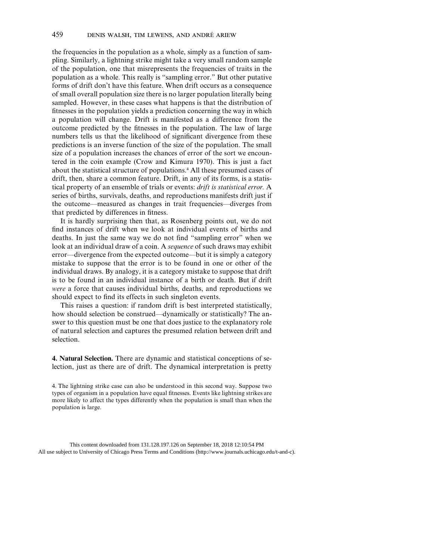the frequencies in the population as a whole, simply as a function of sampling. Similarly, a lightning strike might take a very small random sample of the population, one that misrepresents the frequencies of traits in the population as a whole. This really is "sampling error." But other putative forms of drift don't have this feature. When drift occurs as a consequence of small overall population size there is no larger population literally being sampled. However, in these cases what happens is that the distribution of fitnesses in the population yields a prediction concerning the way in which a population will change. Drift is manifested as a difference from the outcome predicted by the fitnesses in the population. The law of large numbers tells us that the likelihood of significant divergence from these predictions is an inverse function of the size of the population. The small size of a population increases the chances of error of the sort we encountered in the coin example (Crow and Kimura 1970). This is just a fact about the statistical structure of populations.4 All these presumed cases of drift, then, share a common feature. Drift, in any of its forms, is a statistical property of an ensemble of trials or events: *drift is statistical error.* A series of births, survivals, deaths, and reproductions manifests drift just if the outcome—measured as changes in trait frequencies—diverges from that predicted by differences in fitness.

It is hardly surprising then that, as Rosenberg points out, we do not find instances of drift when we look at individual events of births and deaths. In just the same way we do not find "sampling error" when we look at an individual draw of a coin. A *sequence* of such draws may exhibit error—divergence from the expected outcome—but it is simply a category mistake to suppose that the error is to be found in one or other of the individual draws. By analogy, it is a category mistake to suppose that drift is to be found in an individual instance of a birth or death. But if drift *were* a force that causes individual births, deaths, and reproductions we should expect to find its effects in such singleton events.

This raises a question: if random drift is best interpreted statistically, how should selection be construed—dynamically or statistically? The answer to this question must be one that does justice to the explanatory role of natural selection and captures the presumed relation between drift and selection.

**4. Natural Selection.** There are dynamic and statistical conceptions of selection, just as there are of drift. The dynamical interpretation is pretty

4. The lightning strike case can also be understood in this second way. Suppose two types of organism in a population have equal fitnesses. Events like lightning strikes are more likely to affect the types differently when the population is small than when the population is large.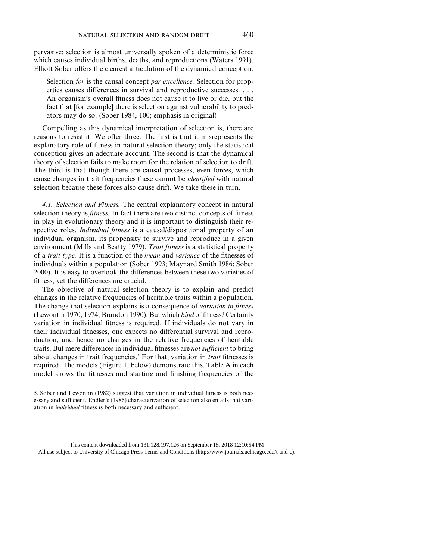pervasive: selection is almost universally spoken of a deterministic force which causes individual births, deaths, and reproductions (Waters 1991). Elliott Sober offers the clearest articulation of the dynamical conception.

Selection *for* is the causal concept *par excellence.* Selection for properties causes differences in survival and reproductive successes.... An organism's overall fitness does not cause it to live or die, but the fact that [for example] there is selection against vulnerability to predators may do so. (Sober 1984, 100; emphasis in original)

Compelling as this dynamical interpretation of selection is, there are reasons to resist it. We offer three. The first is that it misrepresents the explanatory role of fitness in natural selection theory; only the statistical conception gives an adequate account. The second is that the dynamical theory of selection fails to make room for the relation of selection to drift. The third is that though there are causal processes, even forces, which cause changes in trait frequencies these cannot be *identified* with natural selection because these forces also cause drift. We take these in turn.

*4.1. Selection and Fitness.* The central explanatory concept in natural selection theory is *fitness.* In fact there are two distinct concepts of fitness in play in evolutionary theory and it is important to distinguish their respective roles. *Individual fitness* is a causal/dispositional property of an individual organism, its propensity to survive and reproduce in a given environment (Mills and Beatty 1979). *Trait fitness* is a statistical property of a *trait type.* It is a function of the *mean* and *variance* of the fitnesses of individuals within a population (Sober 1993; Maynard Smith 1986; Sober 2000). It is easy to overlook the differences between these two varieties of fitness, yet the differences are crucial.

The objective of natural selection theory is to explain and predict changes in the relative frequencies of heritable traits within a population. The change that selection explains is a consequence of *variation in fitness* (Lewontin 1970, 1974; Brandon 1990). But which *kind* of fitness? Certainly variation in individual fitness is required. If individuals do not vary in their individual fitnesses, one expects no differential survival and reproduction, and hence no changes in the relative frequencies of heritable traits. But mere differences in individual fitnesses are *not sufficient* to bring about changes in trait frequencies.5 For that, variation in *trait* fitnesses is required. The models (Figure 1, below) demonstrate this. Table A in each model shows the fitnesses and starting and finishing frequencies of the

<sup>5.</sup> Sober and Lewontin (1982) suggest that variation in individual fitness is both necessary and sufficient. Endler's (1986) characterization of selection also entails that variation in *individual* fitness is both necessary and sufficient.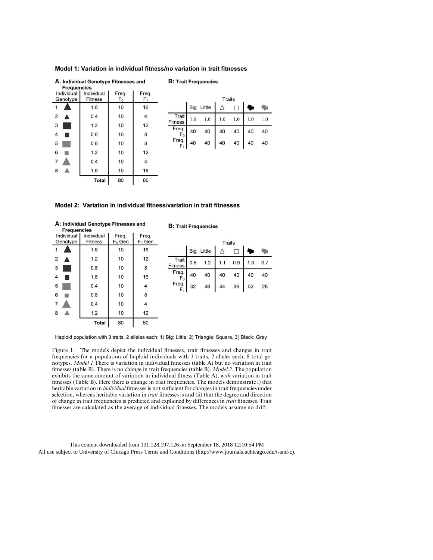| A. Individual Genotype Fitnesses and<br><b>Frequencies</b> |                              |                |                         |  |  |
|------------------------------------------------------------|------------------------------|----------------|-------------------------|--|--|
| Individual<br>Genotype                                     | Individual<br><b>Fitness</b> | Freq.<br>$F_0$ | Freq.<br>F <sub>1</sub> |  |  |
| 1                                                          | 1.6                          | 10             | 16                      |  |  |
| $\overline{2}$<br>▲                                        | 0.4                          | 10             | 4                       |  |  |
| 3                                                          | 1.2                          | 10             | 12                      |  |  |
| 4                                                          | 0.8                          | 10             | 8                       |  |  |
| 5                                                          | 0.8                          | 10             | 8                       |  |  |
| 6                                                          | 1.2                          | 10             | 12                      |  |  |
| $\overline{7}$                                             | 0.4                          | 10             | 4                       |  |  |
| 8                                                          | 1.6                          | 10             | 16                      |  |  |
|                                                            | <b>Total</b>                 | 80             | 80                      |  |  |

#### Model 1: Variation in individual fitness/no variation in trait fitnesses

|                         |            |        | Traits |     |     |    |
|-------------------------|------------|--------|--------|-----|-----|----|
|                         | <b>Big</b> | Little |        |     |     |    |
| Trait<br><b>Fitness</b> | 1.0        | 1.0    | 1.0    | 1.0 | 1.0 |    |
| Freq.<br>F <sub>o</sub> | 40         | 40     | 40     | 40  | 40  | 40 |
| Freq. F <sub>1</sub>    | 40         | 40     | 40     | 40  | 40  |    |

#### Model 2: Variation in individual fitness/variation in trait fitnesses

| <b>Frequencies</b> | A: Individual Genotype Fitnesses and |           |           |
|--------------------|--------------------------------------|-----------|-----------|
| Individual         | Individual                           | Freq.     | Freq.     |
| Genotype           | <b>Fitness</b>                       | $F_0$ Gen | $F_1$ Gen |
| 1                  | 1.6                                  | 10        | 16        |
| $\overline{2}$     | 1.2                                  | 10        | 12        |
| 3                  | 0.8                                  | 10        | 8         |
| 4                  | 1.6                                  | 10        | 16        |
| 5                  | 0.4                                  | 10        | 4         |
| 6                  | 0.8                                  | 10        | 8         |
| 7                  | 0.4                                  | 10        | 4         |
| 8                  | 1.2                                  | 10        | 12        |
|                    | <b>Total</b>                         | 80        | 80        |

**B: Trait Frequencies** 

**B: Trait Frequencies** 

| 1.3 |    |
|-----|----|
|     |    |
|     |    |
| 40  |    |
| 52  | 28 |
|     |    |

Haploid population with 3 traits, 2 alleles each: 1) Big: Little, 2) Triangle: Square, 3) Black: Grey

Figure 1. The models depict the individual fitnesses, trait fitnesses and changes in trait frequencies for a population of haploid individuals with 3 traits, 2 alleles each, 8 total genotypes. *Model 1* There is variation in individual fitnesses (table A) but no variation in trait fitnesses (table B). There is no change in trait frequencies (table B). *Model 2.* The population exhibits the same amount of variation in individual fitness (Table A), *with* variation in trait fitnesses (Table B). Here there is change in trait frequencies. The models demonstrate i) that heritable variation in *individual* fitnesses is not sufficient for changes in trait frequencies under selection, whereas heritable variation in *trait* fitnesses is and (ii) that the degree and direction of change in trait frequencies is predicted and explained by differences in *trait* fitnesses. Trait fitnesses are calculated as the average of individual fitnesses. The models assume no drift.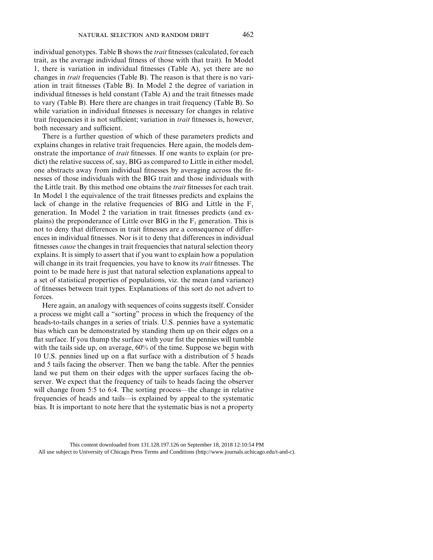individual genotypes. Table B shows the *trait* fitnesses (calculated, for each trait, as the average individual fitness of those with that trait). In Model 1, there is variation in individual fitnesses (Table A), yet there are no changes in *trait* frequencies (Table B). The reason is that there is no variation in trait fitnesses (Table B). In Model 2 the degree of variation in individual fitnesses is held constant (Table A) and the trait fitnesses made to vary (Table B). Here there are changes in trait frequency (Table B). So while variation in individual fitnesses is necessary for changes in relative trait frequencies it is not sufficient; variation in *trait* fitnesses is, however, both necessary and sufficient.

There is a further question of which of these parameters predicts and explains changes in relative trait frequencies. Here again, the models demonstrate the importance of *trait* fitnesses. If one wants to explain (or predict) the relative success of, say, BIG as compared to Little in either model, one abstracts away from individual fitnesses by averaging across the fitnesses of those individuals with the BIG trait and those individuals with the Little trait. By this method one obtains the *trait* fitnesses for each trait. In Model 1 the equivalence of the trait fitnesses predicts and explains the lack of change in the relative frequencies of BIG and Little in the  $F_1$ generation. In Model 2 the variation in trait fitnesses predicts (and explains) the preponderance of Little over BIG in the  $F_1$  generation. This is not to deny that differences in trait fitnesses are a consequence of differences in individual fitnesses. Nor is it to deny that differences in individual fitnesses *cause* the changes in trait frequencies that natural selection theory explains. It is simply to assert that if you want to explain how a population will change in its trait frequencies, you have to know its *trait* fitnesses. The point to be made here is just that natural selection explanations appeal to a set of statistical properties of populations, viz. the mean (and variance) of fitnesses between trait types. Explanations of this sort do not advert to forces.

Here again, an analogy with sequences of coins suggests itself. Consider a process we might call a "sorting" process in which the frequency of the heads-to-tails changes in a series of trials. U.S. pennies have a systematic bias which can be demonstrated by standing them up on their edges on a flat surface. If you thump the surface with your fist the pennies will tumble with the tails side up, on average,  $60\%$  of the time. Suppose we begin with 10 U.S. pennies lined up on a flat surface with a distribution of 5 heads and 5 tails facing the observer. Then we bang the table. After the pennies land we put them on their edges with the upper surfaces facing the observer. We expect that the frequency of tails to heads facing the observer will change from 5:5 to 6:4. The sorting process—the change in relative frequencies of heads and tails—is explained by appeal to the systematic bias. It is important to note here that the systematic bias is not a property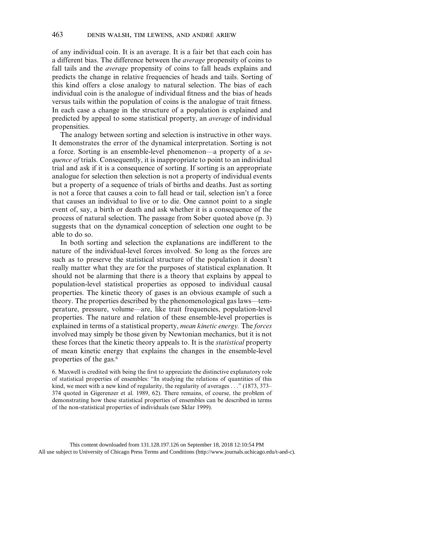of any individual coin. It is an average. It is a fair bet that each coin has a different bias. The difference between the *average* propensity of coins to fall tails and the *average* propensity of coins to fall heads explains and predicts the change in relative frequencies of heads and tails. Sorting of this kind offers a close analogy to natural selection. The bias of each individual coin is the analogue of individual fitness and the bias of heads versus tails within the population of coins is the analogue of trait fitness. In each case a change in the structure of a population is explained and predicted by appeal to some statistical property, an *average* of individual propensities.

The analogy between sorting and selection is instructive in other ways. It demonstrates the error of the dynamical interpretation. Sorting is not a force. Sorting is an ensemble-level phenomenon—a property of a *sequence of* trials. Consequently, it is inappropriate to point to an individual trial and ask if it is a consequence of sorting. If sorting is an appropriate analogue for selection then selection is not a property of individual events but a property of a sequence of trials of births and deaths. Just as sorting is not a force that causes a coin to fall head or tail, selection isn't a force that causes an individual to live or to die. One cannot point to a single event of, say, a birth or death and ask whether it is a consequence of the process of natural selection. The passage from Sober quoted above (p. 3) suggests that on the dynamical conception of selection one ought to be able to do so.

In both sorting and selection the explanations are indifferent to the nature of the individual-level forces involved. So long as the forces are such as to preserve the statistical structure of the population it doesn't really matter what they are for the purposes of statistical explanation. It should not be alarming that there is a theory that explains by appeal to population-level statistical properties as opposed to individual causal properties. The kinetic theory of gases is an obvious example of such a theory. The properties described by the phenomenological gas laws—temperature, pressure, volume—are, like trait frequencies, population-level properties. The nature and relation of these ensemble-level properties is explained in terms of a statistical property, *mean kinetic energy.* The *forces* involved may simply be those given by Newtonian mechanics, but it is not these forces that the kinetic theory appeals to. It is the *statistical* property of mean kinetic energy that explains the changes in the ensemble-level properties of the gas.6

6. Maxwell is credited with being the first to appreciate the distinctive explanatory role of statistical properties of ensembles: "In studying the relations of quantities of this kind, we meet with a new kind of regularity, the regularity of averages . . ." (1873, 373– 374 quoted in Gigerenzer et al. 1989, 62). There remains, of course, the problem of demonstrating how these statistical properties of ensembles can be described in terms of the non-statistical properties of individuals (see Sklar 1999).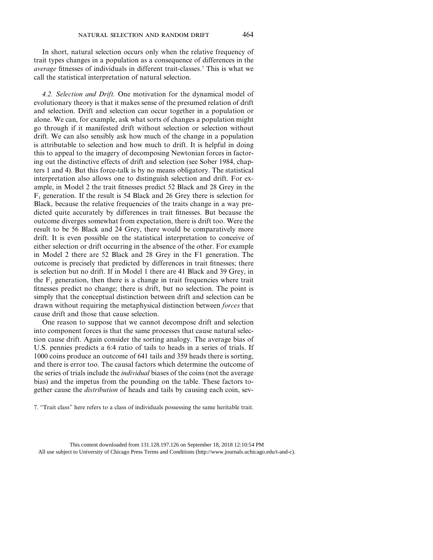In short, natural selection occurs only when the relative frequency of trait types changes in a population as a consequence of differences in the *average* fitnesses of individuals in different trait-classes.7 This is what we call the statistical interpretation of natural selection.

*4.2. Selection and Drift.* One motivation for the dynamical model of evolutionary theory is that it makes sense of the presumed relation of drift and selection. Drift and selection can occur together in a population or alone. We can, for example, ask what sorts of changes a population might go through if it manifested drift without selection or selection without drift. We can also sensibly ask how much of the change in a population is attributable to selection and how much to drift. It is helpful in doing this to appeal to the imagery of decomposing Newtonian forces in factoring out the distinctive effects of drift and selection (see Sober 1984, chapters 1 and 4). But this force-talk is by no means obligatory. The statistical interpretation also allows one to distinguish selection and drift. For example, in Model 2 the trait fitnesses predict 52 Black and 28 Grey in the  $F_1$  generation. If the result is 54 Black and 26 Grey there is selection for Black, because the relative frequencies of the traits change in a way predicted quite accurately by differences in trait fitnesses. But because the outcome diverges somewhat from expectation, there is drift too. Were the result to be 56 Black and 24 Grey, there would be comparatively more drift. It is even possible on the statistical interpretation to conceive of either selection or drift occurring in the absence of the other. For example in Model 2 there are 52 Black and 28 Grey in the F1 generation. The outcome is precisely that predicted by differences in trait fitnesses; there is selection but no drift. If in Model 1 there are 41 Black and 39 Grey, in the  $F_1$  generation, then there is a change in trait frequencies where trait fitnesses predict no change; there is drift, but no selection. The point is simply that the conceptual distinction between drift and selection can be drawn without requiring the metaphysical distinction between *forces* that cause drift and those that cause selection.

One reason to suppose that we cannot decompose drift and selection into component forces is that the same processes that cause natural selection cause drift. Again consider the sorting analogy. The average bias of U.S. pennies predicts a 6:4 ratio of tails to heads in a series of trials. If 1000 coins produce an outcome of 641 tails and 359 heads there is sorting, and there is error too. The causal factors which determine the outcome of the series of trials include the *individual* biases of the coins (not the average bias) and the impetus from the pounding on the table. These factors together cause the *distribution* of heads and tails by causing each coin, sev-

7. "Trait class" here refers to a class of individuals possessing the same heritable trait.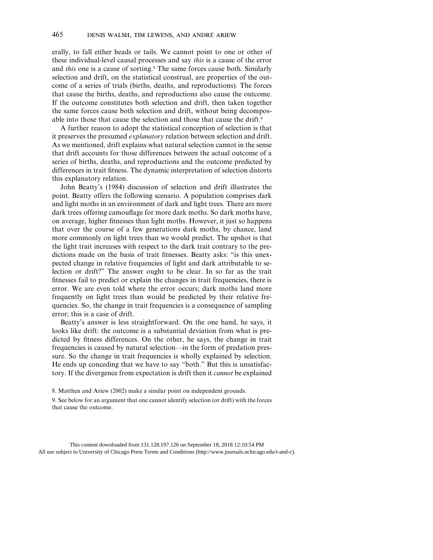erally, to fall either heads or tails. We cannot point to one or other of these individual-level causal processes and say *this* is a cause of the error and *this* one is a cause of sorting.<sup>8</sup> The same forces cause both. Similarly selection and drift, on the statistical construal, are properties of the outcome of a series of trials (births, deaths, and reproductions). The forces that cause the births, deaths, and reproductions also cause the outcome. If the outcome constitutes both selection and drift, then taken together the same forces cause both selection and drift, without being decomposable into those that cause the selection and those that cause the drift.<sup>9</sup>

A further reason to adopt the statistical conception of selection is that it preserves the presumed *explanatory* relation between selection and drift. As we mentioned, drift explains what natural selection cannot in the sense that drift accounts for those differences between the actual outcome of a series of births, deaths, and reproductions and the outcome predicted by differences in trait fitness. The dynamic interpretation of selection distorts this explanatory relation.

John Beatty's (1984) discussion of selection and drift illustrates the point. Beatty offers the following scenario. A population comprises dark and light moths in an environment of dark and light trees. There are more dark trees offering camouflage for more dark moths. So dark moths have, on average, higher fitnesses than light moths. However, it just so happens that over the course of a few generations dark moths, by chance, land more commonly on light trees than we would predict. The upshot is that the light trait increases with respect to the dark trait contrary to the predictions made on the basis of trait fitnesses. Beatty asks: "is this unexpected change in relative frequencies of light and dark attributable to selection or drift?" The answer ought to be clear. In so far as the trait fitnesses fail to predict or explain the changes in trait frequencies, there is error. We are even told where the error occurs; dark moths land more frequently on light trees than would be predicted by their relative frequencies. So, the change in trait frequencies is a consequence of sampling error; this is a case of drift.

Beatty's answer is less straightforward. On the one hand, he says, it looks like drift: the outcome is a substantial deviation from what is predicted by fitness differences. On the other, he says, the change in trait frequencies is caused by natural selection—in the form of predation pressure. So the change in trait frequencies is wholly explained by selection. He ends up conceding that we have to say "both." But this is unsatisfactory. If the divergence from expectation is drift then it *cannot* be explained

8. Matthen and Ariew (2002) make a similar point on independent grounds.

9. See below for an argument that one cannot identify selection (or drift) with the forces that cause the outcome.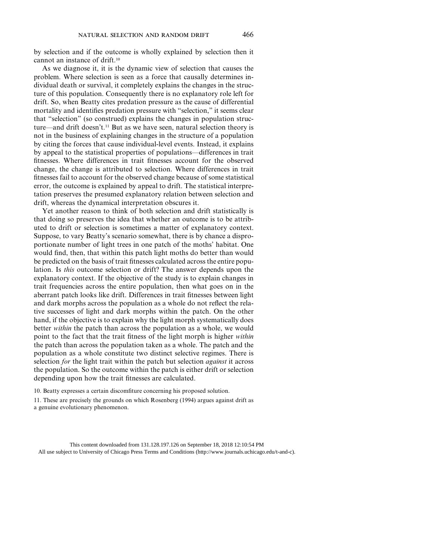by selection and if the outcome is wholly explained by selection then it cannot an instance of drift.10

As we diagnose it, it is the dynamic view of selection that causes the problem. Where selection is seen as a force that causally determines individual death or survival, it completely explains the changes in the structure of this population. Consequently there is no explanatory role left for drift. So, when Beatty cites predation pressure as the cause of differential mortality and identifies predation pressure with "selection," it seems clear that "selection" (so construed) explains the changes in population structure—and drift doesn't.11 But as we have seen, natural selection theory is not in the business of explaining changes in the structure of a population by citing the forces that cause individual-level events. Instead, it explains by appeal to the statistical properties of populations—differences in trait fitnesses. Where differences in trait fitnesses account for the observed change, the change is attributed to selection. Where differences in trait fitnesses fail to account for the observed change because of some statistical error, the outcome is explained by appeal to drift. The statistical interpretation preserves the presumed explanatory relation between selection and drift, whereas the dynamical interpretation obscures it.

Yet another reason to think of both selection and drift statistically is that doing so preserves the idea that whether an outcome is to be attributed to drift or selection is sometimes a matter of explanatory context. Suppose, to vary Beatty's scenario somewhat, there is by chance a disproportionate number of light trees in one patch of the moths' habitat. One would find, then, that within this patch light moths do better than would be predicted on the basis of trait fitnesses calculated across the entire population. Is *this* outcome selection or drift? The answer depends upon the explanatory context. If the objective of the study is to explain changes in trait frequencies across the entire population, then what goes on in the aberrant patch looks like drift. Differences in trait fitnesses between light and dark morphs across the population as a whole do not reflect the relative successes of light and dark morphs within the patch. On the other hand, if the objective is to explain why the light morph systematically does better *within* the patch than across the population as a whole, we would point to the fact that the trait fitness of the light morph is higher *within* the patch than across the population taken as a whole. The patch and the population as a whole constitute two distinct selective regimes. There is selection *for* the light trait within the patch but selection *against* it across the population. So the outcome within the patch is either drift or selection depending upon how the trait fitnesses are calculated.

10. Beatty expresses a certain discomfiture concerning his proposed solution.

11. These are precisely the grounds on which Rosenberg (1994) argues against drift as a genuine evolutionary phenomenon.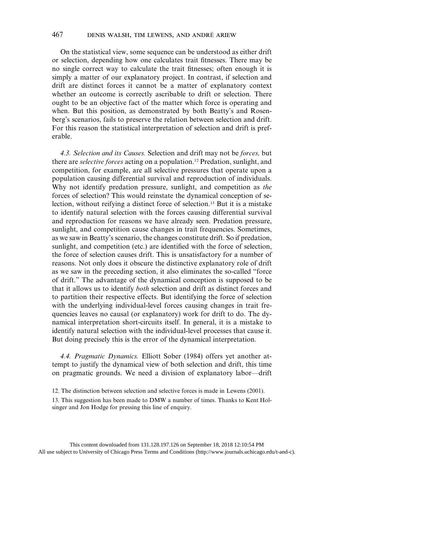On the statistical view, some sequence can be understood as either drift or selection, depending how one calculates trait fitnesses. There may be no single correct way to calculate the trait fitnesses; often enough it is simply a matter of our explanatory project. In contrast, if selection and drift are distinct forces it cannot be a matter of explanatory context whether an outcome is correctly ascribable to drift or selection. There ought to be an objective fact of the matter which force is operating and when. But this position, as demonstrated by both Beatty's and Rosenberg's scenarios, fails to preserve the relation between selection and drift. For this reason the statistical interpretation of selection and drift is preferable.

*4.3. Selection and its Causes.* Selection and drift may not be *forces,* but there are *selective forces* acting on a population.12 Predation, sunlight, and competition, for example, are all selective pressures that operate upon a population causing differential survival and reproduction of individuals. Why not identify predation pressure, sunlight, and competition as *the* forces of selection? This would reinstate the dynamical conception of selection, without reifying a distinct force of selection.13 But it is a mistake to identify natural selection with the forces causing differential survival and reproduction for reasons we have already seen. Predation pressure, sunlight, and competition cause changes in trait frequencies. Sometimes, as we saw in Beatty's scenario, the changes constitute drift. So if predation, sunlight, and competition (etc.) are identified with the force of selection, the force of selection causes drift. This is unsatisfactory for a number of reasons. Not only does it obscure the distinctive explanatory role of drift as we saw in the preceding section, it also eliminates the so-called "force of drift." The advantage of the dynamical conception is supposed to be that it allows us to identify *both* selection and drift as distinct forces and to partition their respective effects. But identifying the force of selection with the underlying individual-level forces causing changes in trait frequencies leaves no causal (or explanatory) work for drift to do. The dynamical interpretation short-circuits itself. In general, it is a mistake to identify natural selection with the individual-level processes that cause it. But doing precisely this is the error of the dynamical interpretation.

*4.4. Pragmatic Dynamics.* Elliott Sober (1984) offers yet another attempt to justify the dynamical view of both selection and drift, this time on pragmatic grounds. We need a division of explanatory labor—drift

13. This suggestion has been made to DMW a number of times. Thanks to Kent Holsinger and Jon Hodge for pressing this line of enquiry.

<sup>12.</sup> The distinction between selection and selective forces is made in Lewens (2001).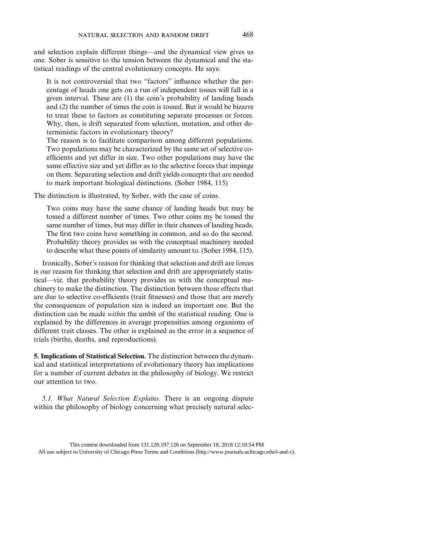and selection explain different things—and the dynamical view gives us one. Sober is sensitive to the tension between the dynamical and the statistical readings of the central evolutionary concepts. He says:

It is not controversial that two "factors" influence whether the percentage of heads one gets on a run of independent tosses will fall in a given interval. These are (1) the coin's probability of landing heads and (2) the number of times the coin is tossed. But it would be bizarre to treat these to factors as constituting separate processes or forces. Why, then, is drift separated from selection, mutation, and other deterministic factors in evolutionary theory?

The reason is to facilitate comparison among different populations. Two populations may be characterized by the same set of selective coefficients and yet differ in size. Two other populations may have the same effective size and yet differ as to the selective forces that impinge on them. Separating selection and drift yields concepts that are needed to mark important biological distinctions. (Sober 1984, 115)

The distinction is illustrated, by Sober, with the case of coins.

Two coins may have the same chance of landing heads but may be tossed a different number of times. Two other coins my be tossed the same number of times, but may differ in their chances of landing heads. The first two coins have something in common, and so do the second. Probability theory provides us with the conceptual machinery needed to describe what these points of similarity amount to. (Sober 1984, 115).

Ironically, Sober's reason for thinking that selection and drift are forces is our reason for thinking that selection and drift are appropriately statistical—viz. that probability theory provides us with the conceptual machinery to make the distinction. The distinction between those effects that are due to selective co-efficients (trait fitnesses) and those that are merely the consequences of population size is indeed an important one. But the distinction can be made *within* the ambit of the statistical reading. One is explained by the differences in average propensities among organisms of different trait classes. The other is explained as the error in a sequence of trials (births, deaths, and reproductions).

**5. Implications of Statistical Selection.** The distinction between the dynamical and statistical interpretations of evolutionary theory has implications for a number of current debates in the philosophy of biology. We restrict our attention to two.

*5.1. What Natural Selection Explains.* There is an ongoing dispute within the philosophy of biology concerning what precisely natural selec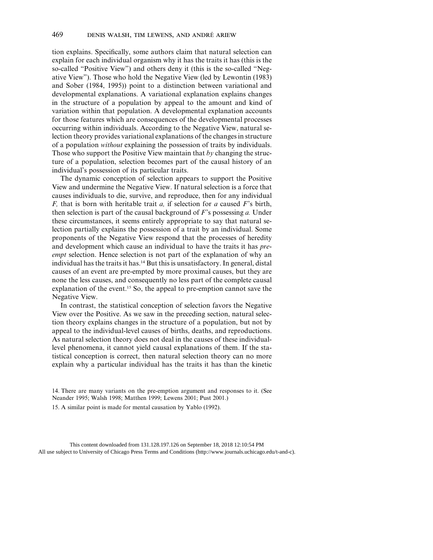tion explains. Specifically, some authors claim that natural selection can explain for each individual organism why it has the traits it has (this is the so-called "Positive View") and others deny it (this is the so-called "Negative View"). Those who hold the Negative View (led by Lewontin (1983) and Sober (1984, 1995)) point to a distinction between variational and developmental explanations. A variational explanation explains changes in the structure of a population by appeal to the amount and kind of variation within that population. A developmental explanation accounts for those features which are consequences of the developmental processes occurring within individuals. According to the Negative View, natural selection theory provides variational explanations of the changes in structure of a population *without* explaining the possession of traits by individuals. Those who support the Positive View maintain that *by* changing the structure of a population, selection becomes part of the causal history of an individual's possession of its particular traits.

The dynamic conception of selection appears to support the Positive View and undermine the Negative View. If natural selection is a force that causes individuals to die, survive, and reproduce, then for any individual *F,* that is born with heritable trait *a,* if selection for *a* caused *F*'s birth, then selection is part of the causal background of *F*'s possessing *a.* Under these circumstances, it seems entirely appropriate to say that natural selection partially explains the possession of a trait by an individual. Some proponents of the Negative View respond that the processes of heredity and development which cause an individual to have the traits it has *preempt* selection. Hence selection is not part of the explanation of why an individual has the traits it has.14 But this is unsatisfactory. In general, distal causes of an event are pre-empted by more proximal causes, but they are none the less causes, and consequently no less part of the complete causal explanation of the event.<sup>15</sup> So, the appeal to pre-emption cannot save the Negative View.

In contrast, the statistical conception of selection favors the Negative View over the Positive. As we saw in the preceding section, natural selection theory explains changes in the structure of a population, but not by appeal to the individual-level causes of births, deaths, and reproductions. As natural selection theory does not deal in the causes of these individuallevel phenomena, it cannot yield causal explanations of them. If the statistical conception is correct, then natural selection theory can no more explain why a particular individual has the traits it has than the kinetic

15. A similar point is made for mental causation by Yablo (1992).

<sup>14.</sup> There are many variants on the pre-emption argument and responses to it. (See Neander 1995; Walsh 1998; Matthen 1999; Lewens 2001; Pust 2001.)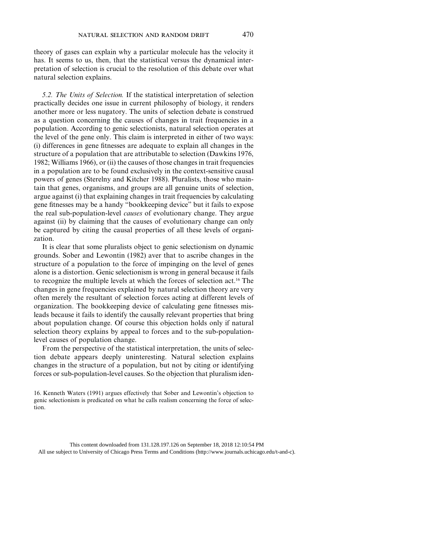theory of gases can explain why a particular molecule has the velocity it has. It seems to us, then, that the statistical versus the dynamical interpretation of selection is crucial to the resolution of this debate over what natural selection explains.

*5.2. The Units of Selection.* If the statistical interpretation of selection practically decides one issue in current philosophy of biology, it renders another more or less nugatory. The units of selection debate is construed as a question concerning the causes of changes in trait frequencies in a population. According to genic selectionists, natural selection operates at the level of the gene only. This claim is interpreted in either of two ways: (i) differences in gene fitnesses are adequate to explain all changes in the structure of a population that are attributable to selection (Dawkins 1976, 1982; Williams 1966), or (ii) the causes of those changes in trait frequencies in a population are to be found exclusively in the context-sensitive causal powers of genes (Sterelny and Kitcher 1988). Pluralists, those who maintain that genes, organisms, and groups are all genuine units of selection, argue against (i) that explaining changes in trait frequencies by calculating gene fitnesses may be a handy "bookkeeping device" but it fails to expose the real sub-population-level *causes* of evolutionary change. They argue against (ii) by claiming that the causes of evolutionary change can only be captured by citing the causal properties of all these levels of organization.

It is clear that some pluralists object to genic selectionism on dynamic grounds. Sober and Lewontin (1982) aver that to ascribe changes in the structure of a population to the force of impinging on the level of genes alone is a distortion. Genic selectionism is wrong in general because it fails to recognize the multiple levels at which the forces of selection act.16 The changes in gene frequencies explained by natural selection theory are very often merely the resultant of selection forces acting at different levels of organization. The bookkeeping device of calculating gene fitnesses misleads because it fails to identify the causally relevant properties that bring about population change. Of course this objection holds only if natural selection theory explains by appeal to forces and to the sub-populationlevel causes of population change.

From the perspective of the statistical interpretation, the units of selection debate appears deeply uninteresting. Natural selection explains changes in the structure of a population, but not by citing or identifying forces or sub-population-level causes. So the objection that pluralism iden-

<sup>16.</sup> Kenneth Waters (1991) argues effectively that Sober and Lewontin's objection to genic selectionism is predicated on what he calls realism concerning the force of selection.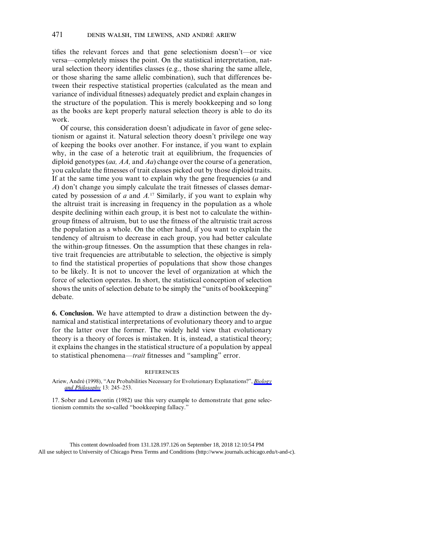tifies the relevant forces and that gene selectionism doesn't—or vice versa—completely misses the point. On the statistical interpretation, natural selection theory identifies classes (e.g., those sharing the same allele, or those sharing the same allelic combination), such that differences between their respective statistical properties (calculated as the mean and variance of individual fitnesses) adequately predict and explain changes in the structure of the population. This is merely bookkeeping and so long as the books are kept properly natural selection theory is able to do its work.

Of course, this consideration doesn't adjudicate in favor of gene selectionism or against it. Natural selection theory doesn't privilege one way of keeping the books over another. For instance, if you want to explain why, in the case of a heterotic trait at equilibrium, the frequencies of diploid genotypes (*aa, AA,* and *Aa*) change over the course of a generation, you calculate the fitnesses of trait classes picked out by those diploid traits. If at the same time you want to explain why the gene frequencies (*a* and *A*) don't change you simply calculate the trait fitnesses of classes demarcated by possession of  $a$  and  $A$ .<sup>17</sup> Similarly, if you want to explain why the altruist trait is increasing in frequency in the population as a whole despite declining within each group, it is best not to calculate the withingroup fitness of altruism, but to use the fitness of the altruistic trait across the population as a whole. On the other hand, if you want to explain the tendency of altruism to decrease in each group, you had better calculate the within-group fitnesses. On the assumption that these changes in relative trait frequencies are attributable to selection, the objective is simply to find the statistical properties of populations that show those changes to be likely. It is not to uncover the level of organization at which the force of selection operates. In short, the statistical conception of selection shows the units of selection debate to be simply the "units of bookkeeping" debate.

**6. Conclusion.** We have attempted to draw a distinction between the dynamical and statistical interpretations of evolutionary theory and to argue for the latter over the former. The widely held view that evolutionary theory is a theory of forces is mistaken. It is, instead, a statistical theory; it explains the changes in the statistical structure of a population by appeal to statistical phenomena—*trait* fitnesses and "sampling" error.

#### **REFERENCES**

Ariew, André (1998), "Are Probabilities Necessary for Evolutionary Explanations?", *[Biology](https://www.journals.uchicago.edu/action/showLinks?doi=10.1086%2F342454&crossref=10.1023%2FA%3A1006595706470&citationId=p_17) [and Philosophy](https://www.journals.uchicago.edu/action/showLinks?doi=10.1086%2F342454&crossref=10.1023%2FA%3A1006595706470&citationId=p_17)* 13: 245–253.

17. Sober and Lewontin (1982) use this very example to demonstrate that gene selectionism commits the so-called "bookkeeping fallacy."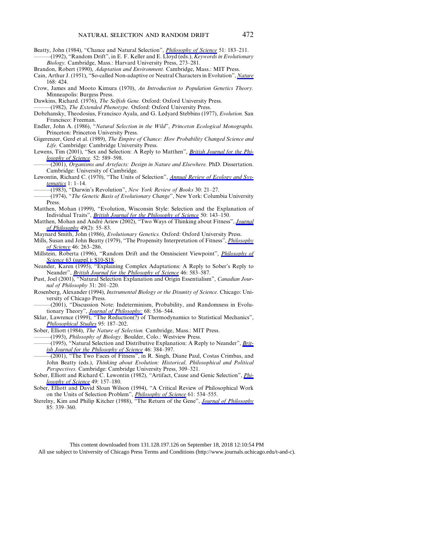- Beatty, John (1984), "Chance and Natural Selection", *[Philosophy of Science](https://www.journals.uchicago.edu/action/showLinks?doi=10.1086%2F342454&system=10.1086%2F289177&citationId=p_19)* 51: 183–211. ———(1992), "Random Drift", in E. F. Keller and E. Lloyd (eds.), *Keywords in Evolutionary Biology.* Cambridge, Mass.: Harvard University Press, 273–281.
- Brandon, Robert (1990), *Adaptation and Environment.* Cambridge, Mass.: MIT Press.
- Cain, Arthur J. (1951), "So-called Non-adaptive or Neutral Characters in Evolution", *[Nature](https://www.journals.uchicago.edu/action/showLinks?doi=10.1086%2F342454&crossref=10.1038%2F168424a0&citationId=p_22)* 168: 424.
- Crow, James and Mooto Kimura (1970), *An Introduction to Population Genetics Theory.* Minneapolis: Burgess Press.
- Dawkins, Richard. (1976), *The Selfish Gene.* Oxford: Oxford University Press.

———(1982), *The Extended Phenotype.* Oxford: Oxford University Press.

- Dobzhansky, Theodosius, Francisco Ayala, and G. Ledyard Stebbins (1977), *Evolution.* San Francisco: Freeman.
- Endler, John A. (1986), "*Natural Selection in the Wild*", *Princeton Ecological Monographs.* Princeton: Princeton University Press.
- Gigerenzer, Gerd et al. (1989), *The Empire of Chance: How Probability Changed Science and Life.* Cambridge: Cambridge University Press.
- Lewens, Tim (2001), "Sex and Selection: A Reply to Matthen", *[British Journal for the Phi](https://www.journals.uchicago.edu/action/showLinks?doi=10.1086%2F342454&crossref=10.1093%2Fbjps%2F52.3.589&citationId=p_29)[losophy of Science](https://www.journals.uchicago.edu/action/showLinks?doi=10.1086%2F342454&crossref=10.1093%2Fbjps%2F52.3.589&citationId=p_29).* 52: 589–598.

 $\overline{-2001}$ , *Organisms and Artefacts: Design in Nature and Elsewhere.* PhD. Dissertation. Cambridge: University of Cambridge.

Lewontin, Richard C. (1970), "The Units of Selection", *[Annual Review of Ecology and Sys](https://www.journals.uchicago.edu/action/showLinks?doi=10.1086%2F342454&crossref=10.1146%2Fannurev.es.01.110170.000245&citationId=p_31)[tematics](https://www.journals.uchicago.edu/action/showLinks?doi=10.1086%2F342454&crossref=10.1146%2Fannurev.es.01.110170.000245&citationId=p_31)* 1: 1–14.

———(1983), "Darwin's Revolution", *New York Review of Books* 30: 21–27.

- ———(1974), "*The Genetic Basis of Evolutionary Change*", New York: Columbia University Press.
- Matthen, Mohan (1999), "Evolution, Wisconsin Style: Selection and the Explanation of Individual Traits", *[British Journal for the Philosophy of Science](https://www.journals.uchicago.edu/action/showLinks?doi=10.1086%2F342454&crossref=10.1093%2Fbjps%2F50.1.143&citationId=p_34)* 50: 143–150.
- Matthen, Mohan and Andre´ Ariew (2002), "Two Ways of Thinking about Fitness", *[Journal](https://www.journals.uchicago.edu/action/showLinks?doi=10.1086%2F342454&crossref=10.2307%2F3655552&citationId=p_35) [of Philosophy](https://www.journals.uchicago.edu/action/showLinks?doi=10.1086%2F342454&crossref=10.2307%2F3655552&citationId=p_35)* 49(2): 55–83.

Maynard Smith, John (1986), *Evolutionary Genetics.* Oxford: Oxford University Press.

- Mills, Susan and John Beatty (1979), "The Propensity Interpretation of Fitness", *[Philosophy](https://www.journals.uchicago.edu/action/showLinks?doi=10.1086%2F342454&system=10.1086%2F288865&citationId=p_37) [of Science](https://www.journals.uchicago.edu/action/showLinks?doi=10.1086%2F342454&system=10.1086%2F288865&citationId=p_37)* 46: 263–286.
- Millstein, Roberta (1996), "Random Drift and the Omniscient Viewpoint", *[Philosophy of](https://www.journals.uchicago.edu/action/showLinks?doi=10.1086%2F342454&system=10.1086%2F289931&citationId=p_38) Science* [63 \(suppl.\): S10-S18](https://www.journals.uchicago.edu/action/showLinks?doi=10.1086%2F342454&system=10.1086%2F289931&citationId=p_38).
- Neander, Karen (1995), "Explaining Complex Adaptations: A Reply to Sober's Reply to Neander", *[British Journal for the Philosophy of Science](https://www.journals.uchicago.edu/action/showLinks?doi=10.1086%2F342454&crossref=10.1093%2Fbjps%2F46.4.583&citationId=p_39)* 46: 583–587.
- Pust, Joel (2001), "Natural Selection Explanation and Origin Essentialism", *Canadian Journal of Philosophy* 31: 201–220.
- Rosenberg, Alexander (1994), *Instrumental Biology or the Disunity of Science.* Chicago: University of Chicago Press.

———(2001), "Discussion Note: Indeterminism, Probability, and Randomness in Evolutionary Theory", *[Journal of Philosophy:](https://www.journals.uchicago.edu/action/showLinks?doi=10.1086%2F342454&system-d=10.1086%2F392941&citationId=p_42)* 68: 536–544.

Sklar, Lawrence (1999), "The Reduction(?) of Thermodynamics to Statistical Mechanics", *[Philosophical Studies](https://www.journals.uchicago.edu/action/showLinks?doi=10.1086%2F342454&crossref=10.1023%2FA%3A1004527910768&citationId=p_43)* 95: 187–202.

Sober, Elliott (1984), *The Nature of Selection.* Cambridge, Mass.: MIT Press.

———(1993), *Philosophy of Biology.* Boulder, Colo.: Westview Press.

- (1995), "Natural Selection and Distributive Explanation: A Reply to Neander", *[Brit](https://www.journals.uchicago.edu/action/showLinks?doi=10.1086%2F342454&crossref=10.1093%2Fbjps%2F46.3.384&citationId=p_46)[ish Journal for the Philosophy of Science](https://www.journals.uchicago.edu/action/showLinks?doi=10.1086%2F342454&crossref=10.1093%2Fbjps%2F46.3.384&citationId=p_46)* 46: 384–397.
- ———(2001), "The Two Faces of Fitness", in R. Singh, Diane Paul, Costas Crimbas, and John Beatty (eds.), *Thinking about Evolution: Historical, Philosophical and Political Perspectives.* Cambridge: Cambridge University Press, 309–321.
- Sober, Elliott and Richard C. Lewontin (1982), "Artifact, Cause and Genic Selection", *[Phi](https://www.journals.uchicago.edu/action/showLinks?doi=10.1086%2F342454&system=10.1086%2F289047&citationId=p_48)[losophy of Science](https://www.journals.uchicago.edu/action/showLinks?doi=10.1086%2F342454&system=10.1086%2F289047&citationId=p_48)* 49: 157–180.
- Sober, Elliott and David Sloan Wilson (1994), "A Critical Review of Philosophical Work on the Units of Selection Problem", *[Philosophy of Science](https://www.journals.uchicago.edu/action/showLinks?doi=10.1086%2F342454&system=10.1086%2F289821&citationId=p_49)* 61: 534–555.
- Sterelny, Kim and Philip Kitcher (1988), "The Return of the Gene", *[Journal of Philosophy](https://www.journals.uchicago.edu/action/showLinks?doi=10.1086%2F342454&crossref=10.2307%2F2026953&citationId=p_50)* 85: 339–360.